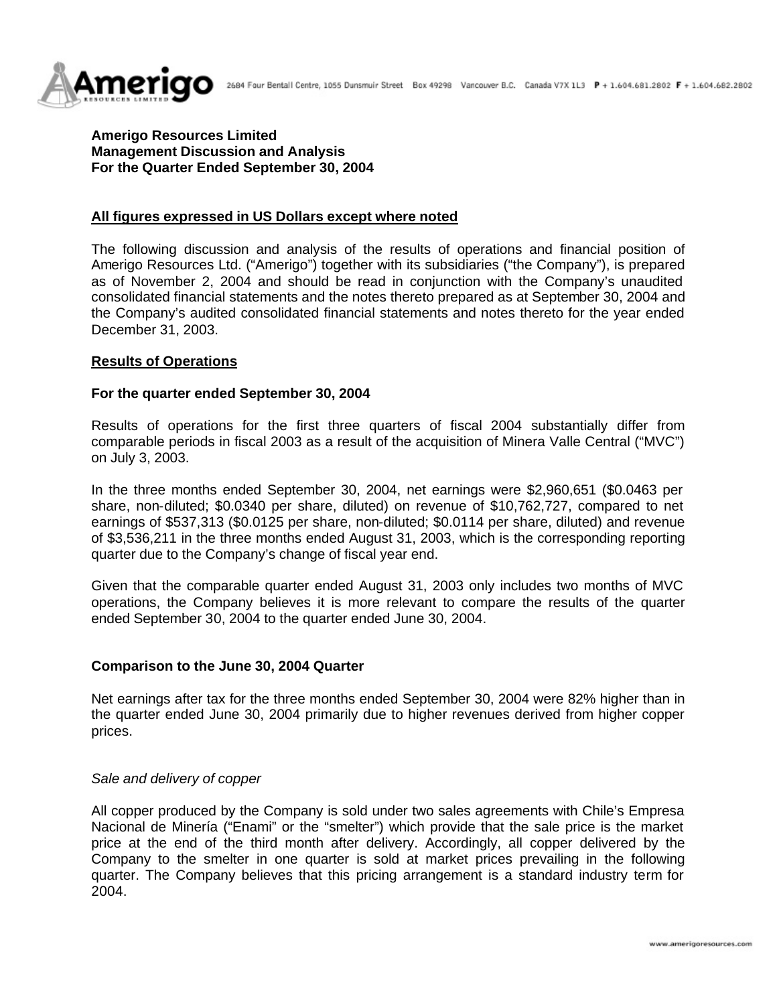

# **Amerigo Resources Limited Management Discussion and Analysis For the Quarter Ended September 30, 2004**

## **All figures expressed in US Dollars except where noted**

The following discussion and analysis of the results of operations and financial position of Amerigo Resources Ltd. ("Amerigo") together with its subsidiaries ("the Company"), is prepared as of November 2, 2004 and should be read in conjunction with the Company's unaudited consolidated financial statements and the notes thereto prepared as at September 30, 2004 and the Company's audited consolidated financial statements and notes thereto for the year ended December 31, 2003.

## **Results of Operations**

### **For the quarter ended September 30, 2004**

Results of operations for the first three quarters of fiscal 2004 substantially differ from comparable periods in fiscal 2003 as a result of the acquisition of Minera Valle Central ("MVC") on July 3, 2003.

In the three months ended September 30, 2004, net earnings were \$2,960,651 (\$0.0463 per share, non-diluted; \$0.0340 per share, diluted) on revenue of \$10,762,727, compared to net earnings of \$537,313 (\$0.0125 per share, non-diluted; \$0.0114 per share, diluted) and revenue of \$3,536,211 in the three months ended August 31, 2003, which is the corresponding reporting quarter due to the Company's change of fiscal year end.

Given that the comparable quarter ended August 31, 2003 only includes two months of MVC operations, the Company believes it is more relevant to compare the results of the quarter ended September 30, 2004 to the quarter ended June 30, 2004.

### **Comparison to the June 30, 2004 Quarter**

Net earnings after tax for the three months ended September 30, 2004 were 82% higher than in the quarter ended June 30, 2004 primarily due to higher revenues derived from higher copper prices.

### *Sale and delivery of copper*

All copper produced by the Company is sold under two sales agreements with Chile's Empresa Nacional de Minería ("Enami" or the "smelter") which provide that the sale price is the market price at the end of the third month after delivery. Accordingly, all copper delivered by the Company to the smelter in one quarter is sold at market prices prevailing in the following quarter. The Company believes that this pricing arrangement is a standard industry term for 2004.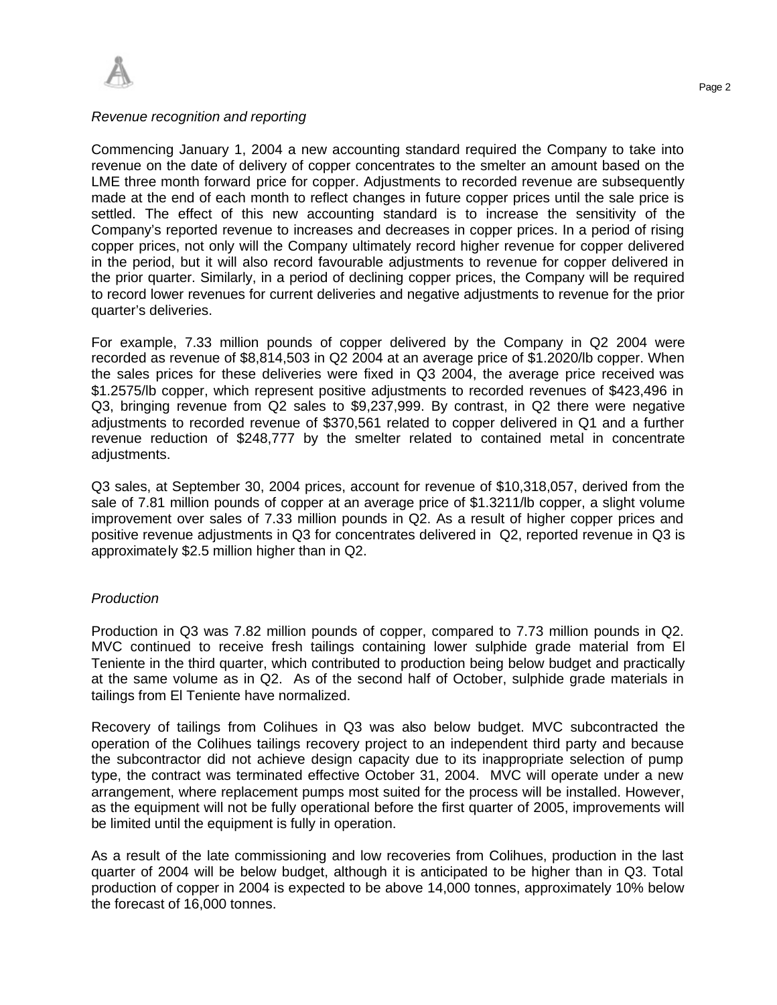

#### *Revenue recognition and reporting*

Commencing January 1, 2004 a new accounting standard required the Company to take into revenue on the date of delivery of copper concentrates to the smelter an amount based on the LME three month forward price for copper. Adjustments to recorded revenue are subsequently made at the end of each month to reflect changes in future copper prices until the sale price is settled. The effect of this new accounting standard is to increase the sensitivity of the Company's reported revenue to increases and decreases in copper prices. In a period of rising copper prices, not only will the Company ultimately record higher revenue for copper delivered in the period, but it will also record favourable adjustments to revenue for copper delivered in the prior quarter. Similarly, in a period of declining copper prices, the Company will be required to record lower revenues for current deliveries and negative adjustments to revenue for the prior quarter's deliveries.

For example, 7.33 million pounds of copper delivered by the Company in Q2 2004 were recorded as revenue of \$8,814,503 in Q2 2004 at an average price of \$1.2020/lb copper. When the sales prices for these deliveries were fixed in Q3 2004, the average price received was \$1.2575/lb copper, which represent positive adjustments to recorded revenues of \$423,496 in Q3, bringing revenue from Q2 sales to \$9,237,999. By contrast, in Q2 there were negative adjustments to recorded revenue of \$370,561 related to copper delivered in Q1 and a further revenue reduction of \$248,777 by the smelter related to contained metal in concentrate adjustments.

Q3 sales, at September 30, 2004 prices, account for revenue of \$10,318,057, derived from the sale of 7.81 million pounds of copper at an average price of \$1.3211/lb copper, a slight volume improvement over sales of 7.33 million pounds in Q2. As a result of higher copper prices and positive revenue adjustments in Q3 for concentrates delivered in Q2, reported revenue in Q3 is approximately \$2.5 million higher than in Q2.

### *Production*

Production in Q3 was 7.82 million pounds of copper, compared to 7.73 million pounds in Q2. MVC continued to receive fresh tailings containing lower sulphide grade material from El Teniente in the third quarter, which contributed to production being below budget and practically at the same volume as in Q2. As of the second half of October, sulphide grade materials in tailings from El Teniente have normalized.

Recovery of tailings from Colihues in Q3 was also below budget. MVC subcontracted the operation of the Colihues tailings recovery project to an independent third party and because the subcontractor did not achieve design capacity due to its inappropriate selection of pump type, the contract was terminated effective October 31, 2004. MVC will operate under a new arrangement, where replacement pumps most suited for the process will be installed. However, as the equipment will not be fully operational before the first quarter of 2005, improvements will be limited until the equipment is fully in operation.

As a result of the late commissioning and low recoveries from Colihues, production in the last quarter of 2004 will be below budget, although it is anticipated to be higher than in Q3. Total production of copper in 2004 is expected to be above 14,000 tonnes, approximately 10% below the forecast of 16,000 tonnes.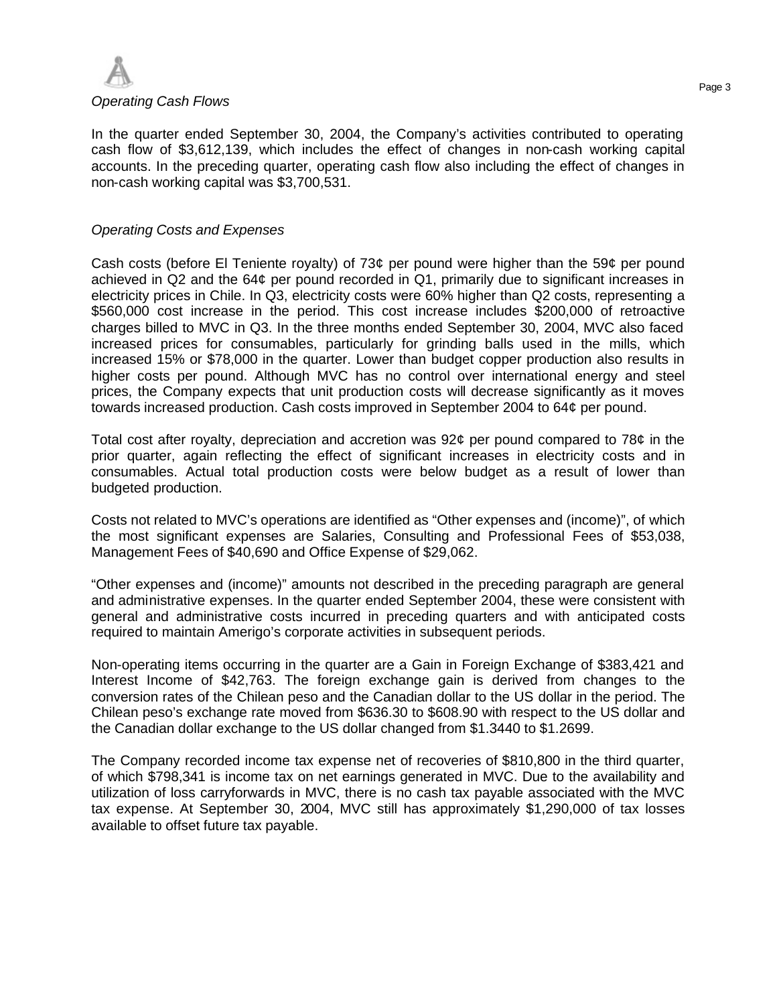

In the quarter ended September 30, 2004, the Company's activities contributed to operating cash flow of \$3,612,139, which includes the effect of changes in non-cash working capital accounts. In the preceding quarter, operating cash flow also including the effect of changes in non-cash working capital was \$3,700,531.

### *Operating Costs and Expenses*

Cash costs (before El Teniente royalty) of 73¢ per pound were higher than the 59¢ per pound achieved in Q2 and the 64¢ per pound recorded in Q1, primarily due to significant increases in electricity prices in Chile. In Q3, electricity costs were 60% higher than Q2 costs, representing a \$560,000 cost increase in the period. This cost increase includes \$200,000 of retroactive charges billed to MVC in Q3. In the three months ended September 30, 2004, MVC also faced increased prices for consumables, particularly for grinding balls used in the mills, which increased 15% or \$78,000 in the quarter. Lower than budget copper production also results in higher costs per pound. Although MVC has no control over international energy and steel prices, the Company expects that unit production costs will decrease significantly as it moves towards increased production. Cash costs improved in September 2004 to 64¢ per pound.

Total cost after royalty, depreciation and accretion was 92¢ per pound compared to 78¢ in the prior quarter, again reflecting the effect of significant increases in electricity costs and in consumables. Actual total production costs were below budget as a result of lower than budgeted production.

Costs not related to MVC's operations are identified as "Other expenses and (income)", of which the most significant expenses are Salaries, Consulting and Professional Fees of \$53,038, Management Fees of \$40,690 and Office Expense of \$29,062.

"Other expenses and (income)" amounts not described in the preceding paragraph are general and administrative expenses. In the quarter ended September 2004, these were consistent with general and administrative costs incurred in preceding quarters and with anticipated costs required to maintain Amerigo's corporate activities in subsequent periods.

Non-operating items occurring in the quarter are a Gain in Foreign Exchange of \$383,421 and Interest Income of \$42,763. The foreign exchange gain is derived from changes to the conversion rates of the Chilean peso and the Canadian dollar to the US dollar in the period. The Chilean peso's exchange rate moved from \$636.30 to \$608.90 with respect to the US dollar and the Canadian dollar exchange to the US dollar changed from \$1.3440 to \$1.2699.

The Company recorded income tax expense net of recoveries of \$810,800 in the third quarter, of which \$798,341 is income tax on net earnings generated in MVC. Due to the availability and utilization of loss carryforwards in MVC, there is no cash tax payable associated with the MVC tax expense. At September 30, 2004, MVC still has approximately \$1,290,000 of tax losses available to offset future tax payable.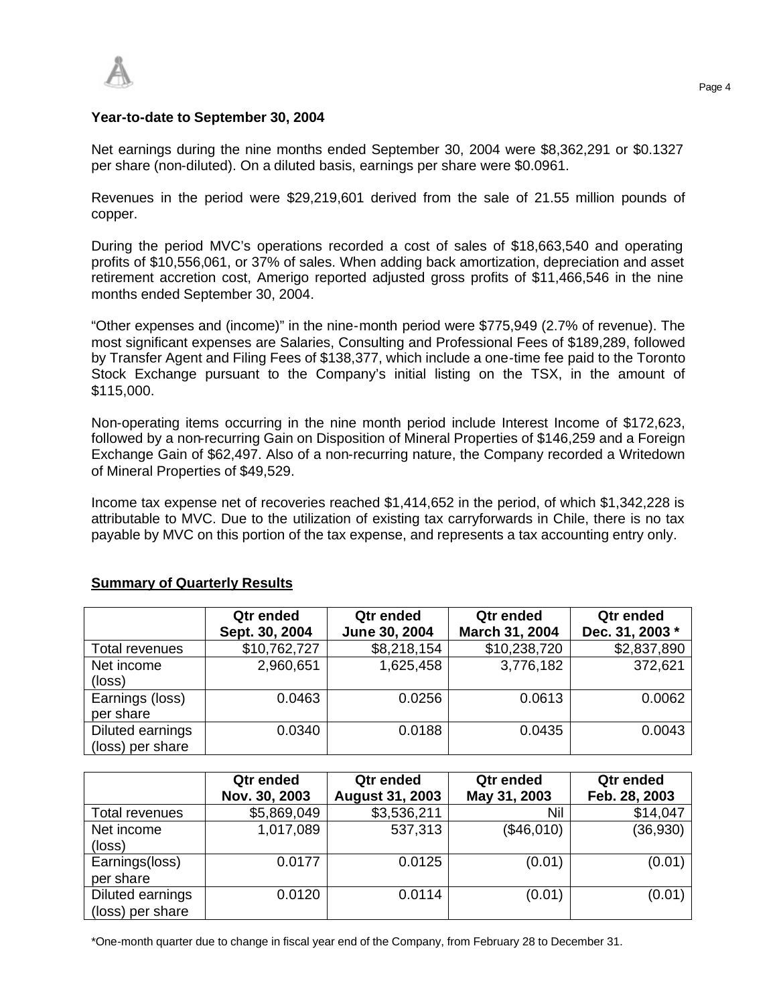

### **Year-to-date to September 30, 2004**

Net earnings during the nine months ended September 30, 2004 were \$8,362,291 or \$0.1327 per share (non-diluted). On a diluted basis, earnings per share were \$0.0961.

Revenues in the period were \$29,219,601 derived from the sale of 21.55 million pounds of copper.

During the period MVC's operations recorded a cost of sales of \$18,663,540 and operating profits of \$10,556,061, or 37% of sales. When adding back amortization, depreciation and asset retirement accretion cost, Amerigo reported adjusted gross profits of \$11,466,546 in the nine months ended September 30, 2004.

"Other expenses and (income)" in the nine-month period were \$775,949 (2.7% of revenue). The most significant expenses are Salaries, Consulting and Professional Fees of \$189,289, followed by Transfer Agent and Filing Fees of \$138,377, which include a one-time fee paid to the Toronto Stock Exchange pursuant to the Company's initial listing on the TSX, in the amount of \$115,000.

Non-operating items occurring in the nine month period include Interest Income of \$172,623, followed by a non-recurring Gain on Disposition of Mineral Properties of \$146,259 and a Foreign Exchange Gain of \$62,497. Also of a non-recurring nature, the Company recorded a Writedown of Mineral Properties of \$49,529.

Income tax expense net of recoveries reached \$1,414,652 in the period, of which \$1,342,228 is attributable to MVC. Due to the utilization of existing tax carryforwards in Chile, there is no tax payable by MVC on this portion of the tax expense, and represents a tax accounting entry only.

#### **Qtr ended Qtr ended Qtr ended Qtr ended Sept. 30, 2004 June 30, 2004 March 31, 2004 Dec. 31, 2003 \*** Total revenues | \$10,762,727 | \$8,218,154 | \$10,238,720 | \$2,837,890 Net income (loss) 2,960,651 1,625,458 3,776,182 372,621 Earnings (loss) per share  $0.0463$  0.0256 0.0613 0.0062 Diluted earnings (loss) per share 0.0340 0.0188 0.0435 0.0043

# **Summary of Quarterly Results**

|                                      | Qtr ended<br>Nov. 30, 2003 | Qtr ended<br><b>August 31, 2003</b> | <b>Qtr</b> ended<br>May 31, 2003 | Qtr ended<br>Feb. 28, 2003 |
|--------------------------------------|----------------------------|-------------------------------------|----------------------------------|----------------------------|
| Total revenues                       | \$5,869,049                | \$3,536,211                         | Nil                              | \$14,047                   |
| Net income<br>(loss)                 | 1,017,089                  | 537,313                             | (\$46,010)                       | (36,930)                   |
| Earnings(loss)<br>per share          | 0.0177                     | 0.0125                              | (0.01)                           | (0.01)                     |
| Diluted earnings<br>(loss) per share | 0.0120                     | 0.0114                              | (0.01)                           | (0.01)                     |

\*One-month quarter due to change in fiscal year end of the Company, from February 28 to December 31.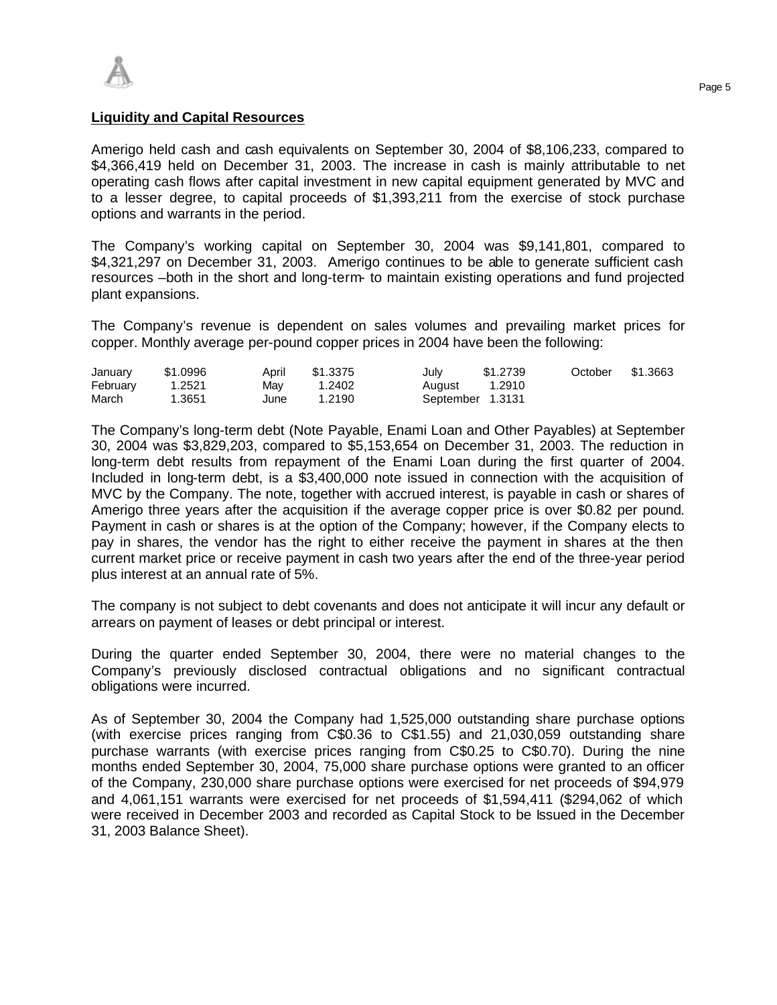### **Liquidity and Capital Resources**

Amerigo held cash and cash equivalents on September 30, 2004 of \$8,106,233, compared to \$4,366,419 held on December 31, 2003. The increase in cash is mainly attributable to net operating cash flows after capital investment in new capital equipment generated by MVC and to a lesser degree, to capital proceeds of \$1,393,211 from the exercise of stock purchase options and warrants in the period.

The Company's working capital on September 30, 2004 was \$9,141,801, compared to \$4,321,297 on December 31, 2003. Amerigo continues to be able to generate sufficient cash resources –both in the short and long-term- to maintain existing operations and fund projected plant expansions.

The Company's revenue is dependent on sales volumes and prevailing market prices for copper. Monthly average per-pound copper prices in 2004 have been the following:

| January  | \$1.0996 | April | \$1.3375 | July             | \$1.2739 | October | \$1.3663 |
|----------|----------|-------|----------|------------------|----------|---------|----------|
| February | 1.2521   | Mav   | 1.2402   | August           | 1.2910   |         |          |
| March    | .3651    | June  | 1.2190   | September 1.3131 |          |         |          |

The Company's long-term debt (Note Payable, Enami Loan and Other Payables) at September 30, 2004 was \$3,829,203, compared to \$5,153,654 on December 31, 2003. The reduction in long-term debt results from repayment of the Enami Loan during the first quarter of 2004. Included in long-term debt, is a \$3,400,000 note issued in connection with the acquisition of MVC by the Company. The note, together with accrued interest, is payable in cash or shares of Amerigo three years after the acquisition if the average copper price is over \$0.82 per pound. Payment in cash or shares is at the option of the Company; however, if the Company elects to pay in shares, the vendor has the right to either receive the payment in shares at the then current market price or receive payment in cash two years after the end of the three-year period plus interest at an annual rate of 5%.

The company is not subject to debt covenants and does not anticipate it will incur any default or arrears on payment of leases or debt principal or interest.

During the quarter ended September 30, 2004, there were no material changes to the Company's previously disclosed contractual obligations and no significant contractual obligations were incurred.

As of September 30, 2004 the Company had 1,525,000 outstanding share purchase options (with exercise prices ranging from C\$0.36 to C\$1.55) and 21,030,059 outstanding share purchase warrants (with exercise prices ranging from C\$0.25 to C\$0.70). During the nine months ended September 30, 2004, 75,000 share purchase options were granted to an officer of the Company, 230,000 share purchase options were exercised for net proceeds of \$94,979 and 4,061,151 warrants were exercised for net proceeds of \$1,594,411 (\$294,062 of which were received in December 2003 and recorded as Capital Stock to be Issued in the December 31, 2003 Balance Sheet).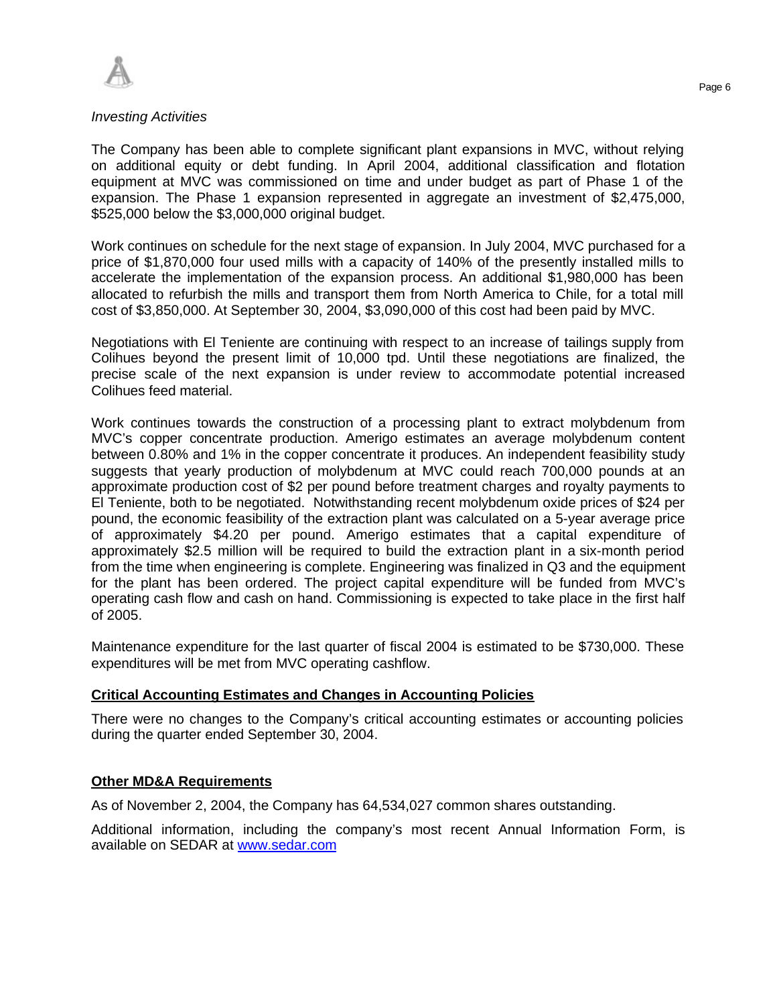

### *Investing Activities*

The Company has been able to complete significant plant expansions in MVC, without relying on additional equity or debt funding. In April 2004, additional classification and flotation equipment at MVC was commissioned on time and under budget as part of Phase 1 of the expansion. The Phase 1 expansion represented in aggregate an investment of \$2,475,000, \$525,000 below the \$3,000,000 original budget.

Work continues on schedule for the next stage of expansion. In July 2004, MVC purchased for a price of \$1,870,000 four used mills with a capacity of 140% of the presently installed mills to accelerate the implementation of the expansion process. An additional \$1,980,000 has been allocated to refurbish the mills and transport them from North America to Chile, for a total mill cost of \$3,850,000. At September 30, 2004, \$3,090,000 of this cost had been paid by MVC.

Negotiations with El Teniente are continuing with respect to an increase of tailings supply from Colihues beyond the present limit of 10,000 tpd. Until these negotiations are finalized, the precise scale of the next expansion is under review to accommodate potential increased Colihues feed material.

Work continues towards the construction of a processing plant to extract molybdenum from MVC's copper concentrate production. Amerigo estimates an average molybdenum content between 0.80% and 1% in the copper concentrate it produces. An independent feasibility study suggests that yearly production of molybdenum at MVC could reach 700,000 pounds at an approximate production cost of \$2 per pound before treatment charges and royalty payments to El Teniente, both to be negotiated. Notwithstanding recent molybdenum oxide prices of \$24 per pound, the economic feasibility of the extraction plant was calculated on a 5-year average price of approximately \$4.20 per pound. Amerigo estimates that a capital expenditure of approximately \$2.5 million will be required to build the extraction plant in a six-month period from the time when engineering is complete. Engineering was finalized in Q3 and the equipment for the plant has been ordered. The project capital expenditure will be funded from MVC's operating cash flow and cash on hand. Commissioning is expected to take place in the first half of 2005.

Maintenance expenditure for the last quarter of fiscal 2004 is estimated to be \$730,000. These expenditures will be met from MVC operating cashflow.

### **Critical Accounting Estimates and Changes in Accounting Policies**

There were no changes to the Company's critical accounting estimates or accounting policies during the quarter ended September 30, 2004.

# **Other MD&A Requirements**

As of November 2, 2004, the Company has 64,534,027 common shares outstanding.

Additional information, including the company's most recent Annual Information Form, is available on SEDAR at www.sedar.com